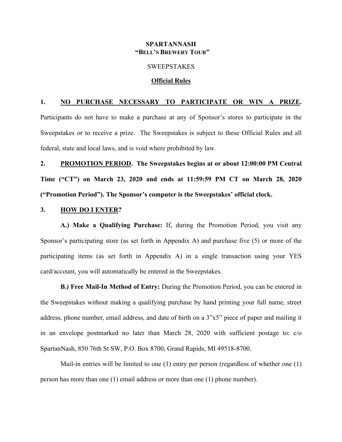### **SPARTANNASH "BELL'S BREWERY TOUR"**

### **SWEEPSTAKES**

#### **Official Rules**

### **1. NO PURCHASE NECESSARY TO PARTICIPATE OR WIN A PRIZE.**

Participants do not have to make a purchase at any of Sponsor's stores to participate in the Sweepstakes or to receive a prize. The Sweepstakes is subject to these Official Rules and all federal, state and local laws, and is void where prohibited by law.

**2. PROMOTION PERIOD. The Sweepstakes begins at or about 12:00:00 PM Central Time ("CT") on March 23, 2020 and ends at 11:59:59 PM CT on March 28, 2020 ("Promotion Period"). The Sponsor's computer is the Sweepstakes' official clock.**

### **3. HOW DO I ENTER?**

**A.) Make a Qualifying Purchase:** If, during the Promotion Period, you visit any Sponsor's participating store (as set forth in Appendix A) and purchase five (5) or more of the participating items (as set forth in Appendix A) in a single transaction using your YES card/account, you will automatically be entered in the Sweepstakes.

**B.) Free Mail-In Method of Entry:** During the Promotion Period, you can be entered in the Sweepstakes without making a qualifying purchase by hand printing your full name, street address, phone number, email address, and date of birth on a 3"x5" piece of paper and mailing it in an envelope postmarked no later than March 28, 2020 with sufficient postage to: c/o SpartanNash, 850 76th St SW, P.O. Box 8700, Grand Rapids, MI 49518-8700.

Mail-in entries will be limited to one (1) entry per person (regardless of whether one (1) person has more than one (1) email address or more than one (1) phone number).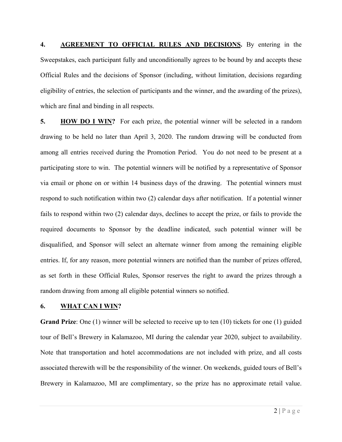**4. AGREEMENT TO OFFICIAL RULES AND DECISIONS.** By entering in the Sweepstakes, each participant fully and unconditionally agrees to be bound by and accepts these Official Rules and the decisions of Sponsor (including, without limitation, decisions regarding eligibility of entries, the selection of participants and the winner, and the awarding of the prizes), which are final and binding in all respects.

**5. HOW DO I WIN?** For each prize, the potential winner will be selected in a random drawing to be held no later than April 3, 2020. The random drawing will be conducted from among all entries received during the Promotion Period. You do not need to be present at a participating store to win. The potential winners will be notified by a representative of Sponsor via email or phone on or within 14 business days of the drawing. The potential winners must respond to such notification within two (2) calendar days after notification. If a potential winner fails to respond within two (2) calendar days, declines to accept the prize, or fails to provide the required documents to Sponsor by the deadline indicated, such potential winner will be disqualified, and Sponsor will select an alternate winner from among the remaining eligible entries. If, for any reason, more potential winners are notified than the number of prizes offered, as set forth in these Official Rules, Sponsor reserves the right to award the prizes through a random drawing from among all eligible potential winners so notified.

### **6. WHAT CAN I WIN?**

**Grand Prize**: One (1) winner will be selected to receive up to ten (10) tickets for one (1) guided tour of Bell's Brewery in Kalamazoo, MI during the calendar year 2020, subject to availability. Note that transportation and hotel accommodations are not included with prize, and all costs associated therewith will be the responsibility of the winner. On weekends, guided tours of Bell's Brewery in Kalamazoo, MI are complimentary, so the prize has no approximate retail value.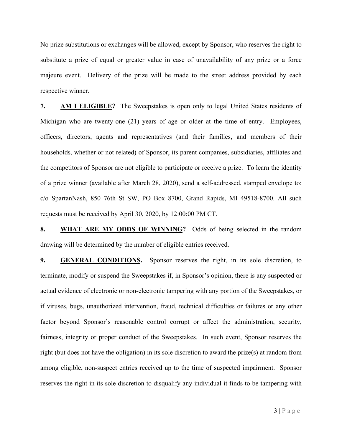No prize substitutions or exchanges will be allowed, except by Sponsor, who reserves the right to substitute a prize of equal or greater value in case of unavailability of any prize or a force majeure event. Delivery of the prize will be made to the street address provided by each respective winner.

**7. AM I ELIGIBLE?** The Sweepstakes is open only to legal United States residents of Michigan who are twenty-one (21) years of age or older at the time of entry. Employees, officers, directors, agents and representatives (and their families, and members of their households, whether or not related) of Sponsor, its parent companies, subsidiaries, affiliates and the competitors of Sponsor are not eligible to participate or receive a prize. To learn the identity of a prize winner (available after March 28, 2020), send a self-addressed, stamped envelope to: c/o SpartanNash, 850 76th St SW, PO Box 8700, Grand Rapids, MI 49518-8700. All such requests must be received by April 30, 2020, by 12:00:00 PM CT.

**8. WHAT ARE MY ODDS OF WINNING?** Odds of being selected in the random drawing will be determined by the number of eligible entries received.

**9. GENERAL CONDITIONS.** Sponsor reserves the right, in its sole discretion, to terminate, modify or suspend the Sweepstakes if, in Sponsor's opinion, there is any suspected or actual evidence of electronic or non-electronic tampering with any portion of the Sweepstakes, or if viruses, bugs, unauthorized intervention, fraud, technical difficulties or failures or any other factor beyond Sponsor's reasonable control corrupt or affect the administration, security, fairness, integrity or proper conduct of the Sweepstakes. In such event, Sponsor reserves the right (but does not have the obligation) in its sole discretion to award the prize(s) at random from among eligible, non-suspect entries received up to the time of suspected impairment. Sponsor reserves the right in its sole discretion to disqualify any individual it finds to be tampering with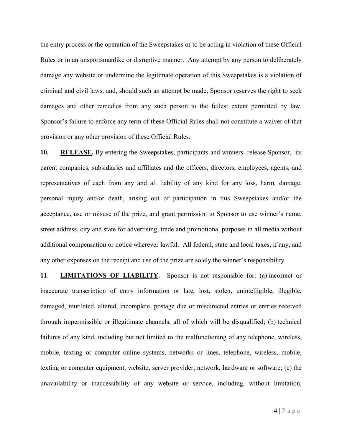the entry process or the operation of the Sweepstakes or to be acting in violation of these Official Rules or in an unsportsmanlike or disruptive manner. Any attempt by any person to deliberately damage any website or undermine the legitimate operation of this Sweepstakes is a violation of criminal and civil laws, and, should such an attempt be made, Sponsor reserves the right to seek damages and other remedies from any such person to the fullest extent permitted by law. Sponsor's failure to enforce any term of these Official Rules shall not constitute a waiver of that provision or any other provision of these Official Rules.

**10. RELEASE.** By entering the Sweepstakes, participants and winners release Sponsor, its parent companies, subsidiaries and affiliates and the officers, directors, employees, agents, and representatives of each from any and all liability of any kind for any loss, harm, damage, personal injury and/or death, arising out of participation in this Sweepstakes and/or the acceptance, use or misuse of the prize, and grant permission to Sponsor to use winner's name, street address, city and state for advertising, trade and promotional purposes in all media without additional compensation or notice wherever lawful. All federal, state and local taxes, if any, and any other expenses on the receipt and use of the prize are solely the winner's responsibility.

**11**. **LIMITATIONS OF LIABILITY.** Sponsor is not responsible for: (a) incorrect or inaccurate transcription of entry information or late, lost, stolen, unintelligible, illegible, damaged, mutilated, altered, incomplete, postage due or misdirected entries or entries received through impermissible or illegitimate channels, all of which will be disqualified; (b) technical failures of any kind, including but not limited to the malfunctioning of any telephone, wireless, mobile, texting or computer online systems, networks or lines, telephone, wireless, mobile, texting or computer equipment, website, server provider, network, hardware or software; (c) the unavailability or inaccessibility of any website or service, including, without limitation,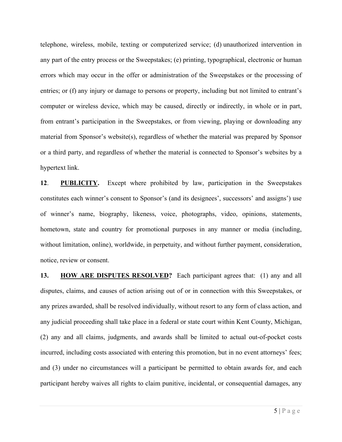telephone, wireless, mobile, texting or computerized service; (d) unauthorized intervention in any part of the entry process or the Sweepstakes; (e) printing, typographical, electronic or human errors which may occur in the offer or administration of the Sweepstakes or the processing of entries; or (f) any injury or damage to persons or property, including but not limited to entrant's computer or wireless device, which may be caused, directly or indirectly, in whole or in part, from entrant's participation in the Sweepstakes, or from viewing, playing or downloading any material from Sponsor's website(s), regardless of whether the material was prepared by Sponsor or a third party, and regardless of whether the material is connected to Sponsor's websites by a hypertext link.

**12**. **PUBLICITY.** Except where prohibited by law, participation in the Sweepstakes constitutes each winner's consent to Sponsor's (and its designees', successors' and assigns') use of winner's name, biography, likeness, voice, photographs, video, opinions, statements, hometown, state and country for promotional purposes in any manner or media (including, without limitation, online), worldwide, in perpetuity, and without further payment, consideration, notice, review or consent.

**13. HOW ARE DISPUTES RESOLVED?** Each participant agrees that: (1) any and all disputes, claims, and causes of action arising out of or in connection with this Sweepstakes, or any prizes awarded, shall be resolved individually, without resort to any form of class action, and any judicial proceeding shall take place in a federal or state court within Kent County, Michigan, (2) any and all claims, judgments, and awards shall be limited to actual out-of-pocket costs incurred, including costs associated with entering this promotion, but in no event attorneys' fees; and (3) under no circumstances will a participant be permitted to obtain awards for, and each participant hereby waives all rights to claim punitive, incidental, or consequential damages, any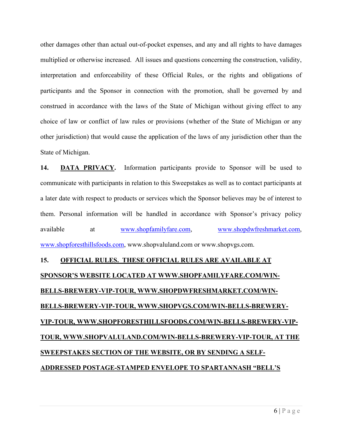other damages other than actual out-of-pocket expenses, and any and all rights to have damages multiplied or otherwise increased. All issues and questions concerning the construction, validity, interpretation and enforceability of these Official Rules, or the rights and obligations of participants and the Sponsor in connection with the promotion, shall be governed by and construed in accordance with the laws of the State of Michigan without giving effect to any choice of law or conflict of law rules or provisions (whether of the State of Michigan or any other jurisdiction) that would cause the application of the laws of any jurisdiction other than the State of Michigan.

**14. DATA PRIVACY.** Information participants provide to Sponsor will be used to communicate with participants in relation to this Sweepstakes as well as to contact participants at a later date with respect to products or services which the Sponsor believes may be of interest to them. Personal information will be handled in accordance with Sponsor's privacy policy available at www.shopfamilyfare.com, www.shopdwfreshmarket.com, www.shopforesthillsfoods.com, www.shopvaluland.com or www.shopvgs.com.

# **15. OFFICIAL RULES. THESE OFFICIAL RULES ARE AVAILABLE AT SPONSOR'S WEBSITE LOCATED AT WWW.SHOPFAMILYFARE.COM/WIN-BELLS-BREWERY-VIP-TOUR, WWW.SHOPDWFRESHMARKET.COM/WIN-BELLS-BREWERY-VIP-TOUR, WWW.SHOPVGS.COM/WIN-BELLS-BREWERY-VIP-TOUR, WWW.SHOPFORESTHILLSFOODS.COM/WIN-BELLS-BREWERY-VIP-TOUR, WWW.SHOPVALULAND.COM/WIN-BELLS-BREWERY-VIP-TOUR, AT THE SWEEPSTAKES SECTION OF THE WEBSITE, OR BY SENDING A SELF-ADDRESSED POSTAGE-STAMPED ENVELOPE TO SPARTANNASH "BELL'S**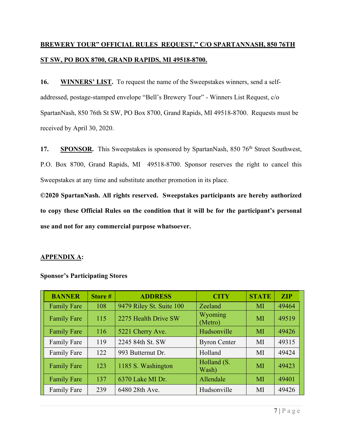## **BREWERY TOUR" OFFICIAL RULES REQUEST," C/O SPARTANNASH, 850 76TH ST SW, PO BOX 8700, GRAND RAPIDS, MI 49518-8700.**

**16. WINNERS' LIST.** To request the name of the Sweepstakes winners, send a selfaddressed, postage-stamped envelope "Bell's Brewery Tour" - Winners List Request, c/o SpartanNash, 850 76th St SW, PO Box 8700, Grand Rapids, MI 49518-8700. Requests must be received by April 30, 2020.

17. **SPONSOR.** This Sweepstakes is sponsored by SpartanNash, 850 76<sup>th</sup> Street Southwest, P.O. Box 8700, Grand Rapids, MI 49518-8700. Sponsor reserves the right to cancel this Sweepstakes at any time and substitute another promotion in its place.

**©2020 SpartanNash. All rights reserved. Sweepstakes participants are hereby authorized to copy these Official Rules on the condition that it will be for the participant's personal use and not for any commercial purpose whatsoever.** 

### **APPENDIX A:**

| <b>BANNER</b>      | Store# | <b>ADDRESS</b>           | <b>CITY</b>          | <b>STATE</b> | <b>ZIP</b> |
|--------------------|--------|--------------------------|----------------------|--------------|------------|
| <b>Family Fare</b> | 108    | 9479 Riley St. Suite 100 | Zeeland              | MI           | 49464      |
| <b>Family Fare</b> | 115    | 2275 Health Drive SW     | Wyoming<br>(Metro)   | MI           | 49519      |
| <b>Family Fare</b> | 116    | 5221 Cherry Ave.         | Hudsonville          | MI           | 49426      |
| <b>Family Fare</b> | 119    | 2245 84th St. SW         | <b>Byron Center</b>  | MI           | 49315      |
| <b>Family Fare</b> | 122    | 993 Butternut Dr.        | Holland              | MI           | 49424      |
| <b>Family Fare</b> | 123    | 1185 S. Washington       | Holland (S.<br>Wash) | MI           | 49423      |
| <b>Family Fare</b> | 137    | 6370 Lake MI Dr.         | Allendale            | MI           | 49401      |
| <b>Family Fare</b> | 239    | 6480 28th Ave.           | Hudsonville          | MI           | 49426      |

### **Sponsor's Participating Stores**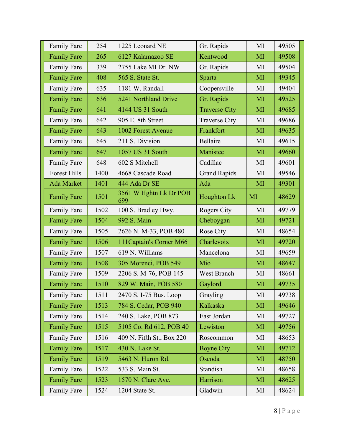| <b>Family Fare</b>  | 254  | 1225 Leonard NE               | Gr. Rapids           | MI | 49505 |
|---------------------|------|-------------------------------|----------------------|----|-------|
| <b>Family Fare</b>  | 265  | 6127 Kalamazoo SE             | Kentwood             | MI | 49508 |
| <b>Family Fare</b>  | 339  | 2755 Lake MI Dr. NW           | Gr. Rapids           | MI | 49504 |
| <b>Family Fare</b>  | 408  | 565 S. State St.              | Sparta               | MI | 49345 |
| <b>Family Fare</b>  | 635  | 1181 W. Randall               | Coopersville         | MI | 49404 |
| <b>Family Fare</b>  | 636  | 5241 Northland Drive          | Gr. Rapids           | MI | 49525 |
| <b>Family Fare</b>  | 641  | 4144 US 31 South              | <b>Traverse City</b> | MI | 49685 |
| <b>Family Fare</b>  | 642  | 905 E. 8th Street             | <b>Traverse City</b> | MI | 49686 |
| <b>Family Fare</b>  | 643  | 1002 Forest Avenue            | Frankfort            | MI | 49635 |
| <b>Family Fare</b>  | 645  | 211 S. Division               | Bellaire             | MI | 49615 |
| <b>Family Fare</b>  | 647  | 1057 US 31 South              | Manistee             | MI | 49660 |
| <b>Family Fare</b>  | 648  | 602 S Mitchell                | Cadillac             | MI | 49601 |
| <b>Forest Hills</b> | 1400 | 4668 Cascade Road             | <b>Grand Rapids</b>  | MI | 49546 |
| Ada Market          | 1401 | 444 Ada Dr SE                 | Ada                  | MI | 49301 |
| <b>Family Fare</b>  | 1501 | 3561 W Hghtn Lk Dr POB<br>699 | Houghton Lk          | MI | 48629 |
| <b>Family Fare</b>  | 1502 | 100 S. Bradley Hwy.           | Rogers City          | MI | 49779 |
| <b>Family Fare</b>  | 1504 | 992 S. Main                   | Cheboygan            | MI | 49721 |
| <b>Family Fare</b>  | 1505 | 2626 N. M-33, POB 480         | Rose City            | MI | 48654 |
| <b>Family Fare</b>  | 1506 | 111 Captain's Corner M66      | Charlevoix           | MI | 49720 |
| <b>Family Fare</b>  | 1507 | 619 N. Williams               | Mancelona            | MI | 49659 |
| <b>Family Fare</b>  | 1508 | 305 Morenci, POB 549          | Mio                  | MI | 48647 |
| <b>Family Fare</b>  | 1509 | 2206 S. M-76, POB 145         | West Branch          | MI | 48661 |
| <b>Family Fare</b>  | 1510 | 829 W. Main, POB 580          | Gaylord              | MI | 49735 |
| <b>Family Fare</b>  | 1511 | 2470 S. I-75 Bus. Loop        | Grayling             | MI | 49738 |
| <b>Family Fare</b>  | 1513 | 784 S. Cedar, POB 940         | Kalkaska             | MI | 49646 |
| Family Fare         | 1514 | 240 S. Lake, POB 873          | East Jordan          | MI | 49727 |
| <b>Family Fare</b>  | 1515 | 5105 Co. Rd 612, POB 40       | Lewiston             | MI | 49756 |
| <b>Family Fare</b>  | 1516 | 409 N. Fifth St., Box 220     | Roscommon            | MI | 48653 |
| <b>Family Fare</b>  | 1517 | 430 N. Lake St.               | <b>Boyne City</b>    | MI | 49712 |
| <b>Family Fare</b>  | 1519 | 5463 N. Huron Rd.             | Oscoda               | MI | 48750 |
| <b>Family Fare</b>  | 1522 | 533 S. Main St.               | Standish             | MI | 48658 |
| <b>Family Fare</b>  | 1523 | 1570 N. Clare Ave.            | Harrison             | MI | 48625 |
| <b>Family Fare</b>  | 1524 | 1204 State St.                | Gladwin              | MI | 48624 |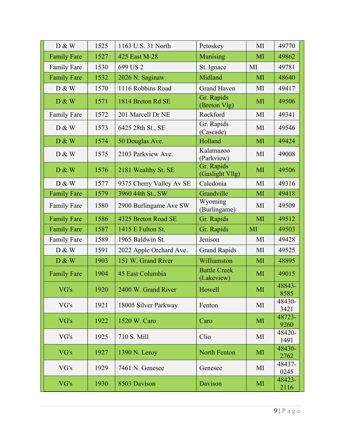| D & W              | 1525 | 1163 U.S. 31 North       | Petoskey                          | MI | 49770          |
|--------------------|------|--------------------------|-----------------------------------|----|----------------|
| <b>Family Fare</b> | 1527 | 425 East M-28            | Munising                          | MI | 49862          |
| <b>Family Fare</b> | 1530 | 699 US 2                 | St. Ignace                        | MI | 49781          |
| <b>Family Fare</b> | 1532 | 2026 N. Saginaw          | Midland                           | MI | 48640          |
| D & W              | 1570 | 1116 Robbins Road        | <b>Grand Haven</b>                | MI | 49417          |
| D & W              | 1571 | 1814 Breton Rd SE        | Gr. Rapids<br>(Breton Vlg)        | MI | 49506          |
| <b>Family Fare</b> | 1572 | 201 Marcell Dr NE        | Rockford                          | MI | 49341          |
| D & W              | 1573 | 6425 28th St., SE        | Gr. Rapids<br>(Cascade)           | MI | 49546          |
| D & W              | 1574 | 50 Douglas Ave.          | Holland                           | MI | 49424          |
| D & W              | 1575 | 2103 Parkview Ave.       | Kalamazoo<br>(Parkview)           | MI | 49008          |
| D & W              | 1576 | 2181 Wealthy St. SE      | Gr. Rapids<br>(Gaslight Vllg)     | MI | 49506          |
| D & W              | 1577 | 9375 Cherry Valley Av SE | Caledonia                         | MI | 49316          |
| <b>Family Fare</b> | 1579 | 3960 44th St., SW        | Grandville                        | MI | 49418          |
| <b>Family Fare</b> | 1580 | 2900 Burlingame Ave SW   | Wyoming<br>(Burlingame)           | MI | 49509          |
| <b>Family Fare</b> | 1586 | 4325 Breton Road SE      | Gr. Rapids                        | MI | 49512          |
| <b>Family Fare</b> | 1587 | 1415 E Fulton St.        | Gr. Rapids                        | MI | 49503          |
| <b>Family Fare</b> | 1589 | 1965 Baldwin St.         | Jenison                           | MI | 49428          |
| D & W              | 1591 | 2022 Apple Orchard Ave.  | <b>Grand Rapids</b>               | MI | 49525          |
| D & W              | 1903 | 151 W. Grand River       | Williamston                       | MI | 48895          |
| <b>Family Fare</b> | 1904 | 45 East Columbia         | <b>Battle Creek</b><br>(Lakeview) | MI | 49015          |
| VG's               | 1920 | 2400 W. Grand River      | Howell                            | MI | 48843-<br>8585 |
| VG's               | 1921 | 18005 Silver Parkway     | Fenton                            | MI | 48430-<br>3421 |
| VG's               | 1922 | 1520 W. Caro             | Caro                              | MI | 48723-<br>9260 |
| VG's               | 1925 | 710 S. Mill              | Clio                              | MI | 48420-<br>1491 |
| VG's               | 1927 | 1390 N. Leroy            | <b>North Fenton</b>               | MI | 48430-<br>2762 |
| VG's               | 1929 | 7461 N. Genesee          | Genesee                           | MI | 48437-<br>0245 |
| VG's               | 1930 | 8503 Davison             | Davison                           | MI | 48423-<br>2116 |